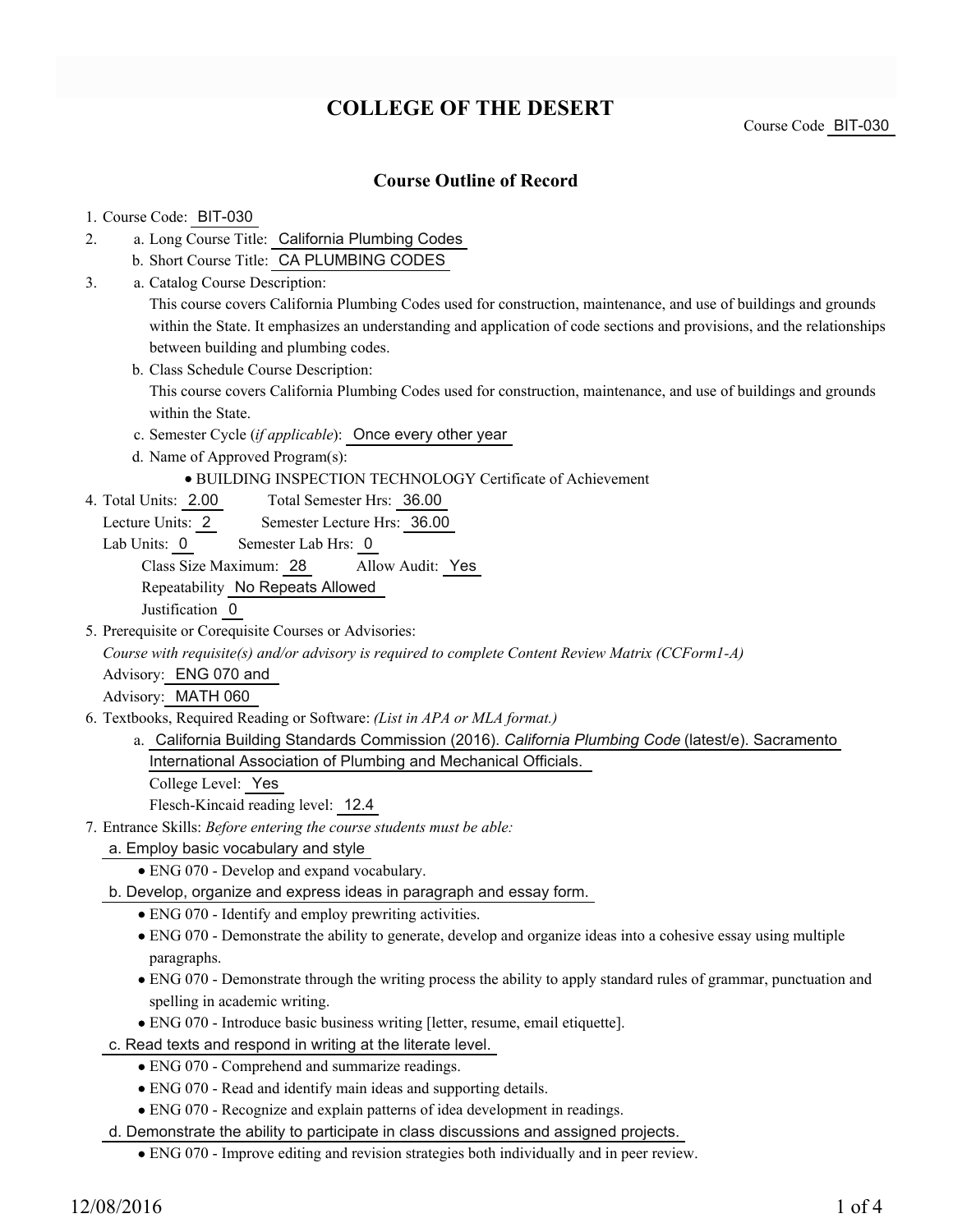# **COLLEGE OF THE DESERT**

Course Code BIT-030

## **Course Outline of Record**

### 1. Course Code: BIT-030

- a. Long Course Title: California Plumbing Codes 2.
	- b. Short Course Title: CA PLUMBING CODES
- Catalog Course Description: a. 3.

This course covers California Plumbing Codes used for construction, maintenance, and use of buildings and grounds within the State. It emphasizes an understanding and application of code sections and provisions, and the relationships between building and plumbing codes.

b. Class Schedule Course Description:

This course covers California Plumbing Codes used for construction, maintenance, and use of buildings and grounds within the State.

- c. Semester Cycle (*if applicable*): Once every other year
- d. Name of Approved Program(s):
	- BUILDING INSPECTION TECHNOLOGY Certificate of Achievement
- Total Semester Hrs: 36.00 4. Total Units: 2.00
	- Lecture Units: 2 Semester Lecture Hrs: 36.00
	- Lab Units: 0 Semester Lab Hrs: 0

Class Size Maximum: 28 Allow Audit: Yes

Repeatability No Repeats Allowed

Justification 0

5. Prerequisite or Corequisite Courses or Advisories:

*Course with requisite(s) and/or advisory is required to complete Content Review Matrix (CCForm1-A)*

Advisory: ENG 070 and

Advisory: MATH 060

- Textbooks, Required Reading or Software: *(List in APA or MLA format.)* 6.
	- a. California Building Standards Commission (2016). *California Plumbing Code* (latest/e). Sacramento International Association of Plumbing and Mechanical Officials.

College Level: Yes

Flesch-Kincaid reading level: 12.4

- Entrance Skills: *Before entering the course students must be able:* 7.
	- a. Employ basic vocabulary and style
		- ENG 070 Develop and expand vocabulary.
	- b. Develop, organize and express ideas in paragraph and essay form.
		- ENG 070 Identify and employ prewriting activities.
		- ENG 070 Demonstrate the ability to generate, develop and organize ideas into a cohesive essay using multiple paragraphs.
		- ENG 070 Demonstrate through the writing process the ability to apply standard rules of grammar, punctuation and spelling in academic writing.
		- ENG 070 Introduce basic business writing [letter, resume, email etiquette].
	- c. Read texts and respond in writing at the literate level.
		- ENG 070 Comprehend and summarize readings.
		- ENG 070 Read and identify main ideas and supporting details.
		- ENG 070 Recognize and explain patterns of idea development in readings.

d. Demonstrate the ability to participate in class discussions and assigned projects.

ENG 070 - Improve editing and revision strategies both individually and in peer review.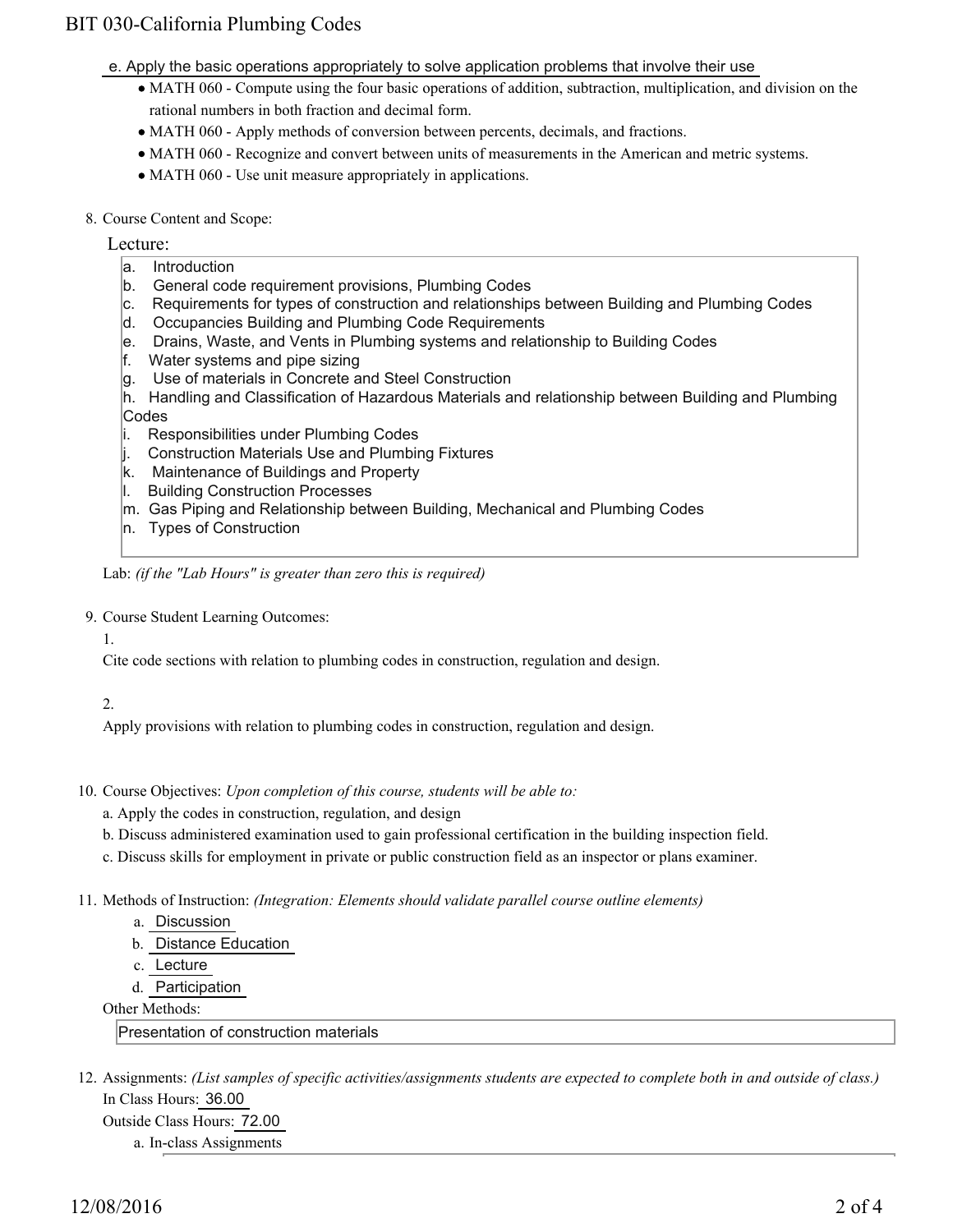# BIT 030-California Plumbing Codes

- e. Apply the basic operations appropriately to solve application problems that involve their use
	- MATH 060 Compute using the four basic operations of addition, subtraction, multiplication, and division on the rational numbers in both fraction and decimal form.
	- MATH 060 Apply methods of conversion between percents, decimals, and fractions.
	- MATH 060 Recognize and convert between units of measurements in the American and metric systems.
	- MATH 060 Use unit measure appropriately in applications.
- 8. Course Content and Scope:

Lecture:

- a. Introduction
- b. General code requirement provisions, Plumbing Codes
- c. Requirements for types of construction and relationships between Building and Plumbing Codes
- d. Occupancies Building and Plumbing Code Requirements
- e. Drains, Waste, and Vents in Plumbing systems and relationship to Building Codes
- f. Water systems and pipe sizing
- g. Use of materials in Concrete and Steel Construction
- h. Handling and Classification of Hazardous Materials and relationship between Building and Plumbing
- **Codes**
- i. Responsibilities under Plumbing Codes
- j. Construction Materials Use and Plumbing Fixtures
- k. Maintenance of Buildings and Property
- l. Building Construction Processes
- m. Gas Piping and Relationship between Building, Mechanical and Plumbing Codes
- n. Types of Construction

Lab: *(if the "Lab Hours" is greater than zero this is required)*

- 9. Course Student Learning Outcomes:
	- 1.

Cite code sections with relation to plumbing codes in construction, regulation and design.

#### 2.

Apply provisions with relation to plumbing codes in construction, regulation and design.

- 10. Course Objectives: Upon completion of this course, students will be able to:
	- a. Apply the codes in construction, regulation, and design
	- b. Discuss administered examination used to gain professional certification in the building inspection field.
	- c. Discuss skills for employment in private or public construction field as an inspector or plans examiner.
- Methods of Instruction: *(Integration: Elements should validate parallel course outline elements)* 11.
	- a. Discussion
	- b. Distance Education
	- c. Lecture
	- d. Participation

Other Methods:

Presentation of construction materials

12. Assignments: (List samples of specific activities/assignments students are expected to complete both in and outside of class.) In Class Hours: 36.00 Outside Class Hours: 72.00

a. In-class Assignments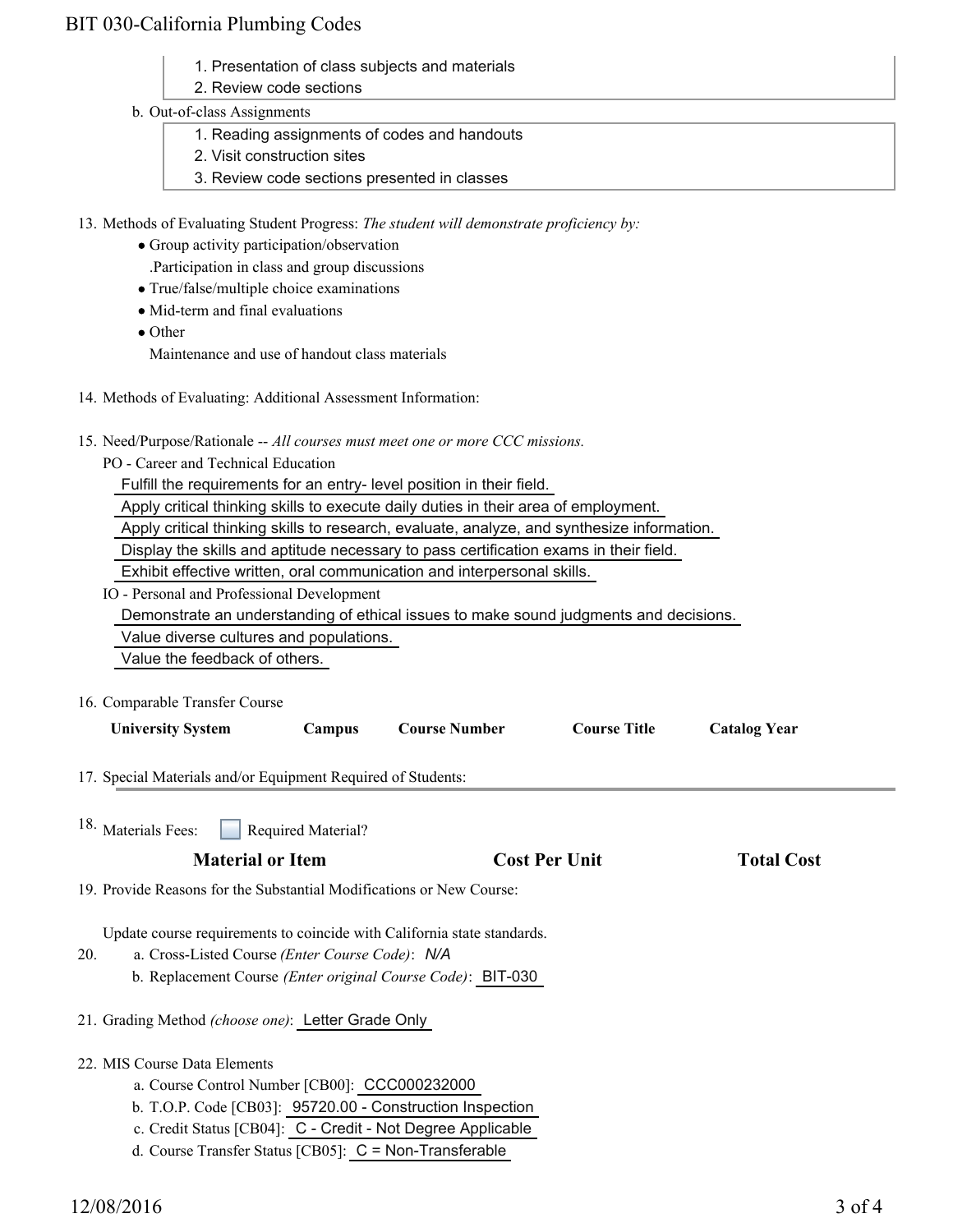# BIT 030-California Plumbing Codes

- 1. Presentation of class subjects and materials
- 2. Review code sections

### b. Out-of-class Assignments

- 1. Reading assignments of codes and handouts
- 2. Visit construction sites
- 3. Review code sections presented in classes
- 13. Methods of Evaluating Student Progress: The student will demonstrate proficiency by:
	- Group activity participation/observation .Participation in class and group discussions
	- True/false/multiple choice examinations
	- Mid-term and final evaluations
	- Other Maintenance and use of handout class materials
- 14. Methods of Evaluating: Additional Assessment Information:
- 15. Need/Purpose/Rationale -- All courses must meet one or more CCC missions.
	- PO Career and Technical Education

Fulfill the requirements for an entry- level position in their field.

Apply critical thinking skills to execute daily duties in their area of employment.

Apply critical thinking skills to research, evaluate, analyze, and synthesize information.

Display the skills and aptitude necessary to pass certification exams in their field.

Exhibit effective written, oral communication and interpersonal skills.

IO - Personal and Professional Development

Demonstrate an understanding of ethical issues to make sound judgments and decisions.

Value diverse cultures and populations.

Value the feedback of others.

16. Comparable Transfer Course

| <b>University System</b>                                                | Campus             | <b>Course Number</b>                                        | <b>Course Title</b>  | <b>Catalog Year</b> |  |
|-------------------------------------------------------------------------|--------------------|-------------------------------------------------------------|----------------------|---------------------|--|
| 17. Special Materials and/or Equipment Required of Students:            |                    |                                                             |                      |                     |  |
| <sup>18.</sup> Materials Fees:                                          | Required Material? |                                                             |                      |                     |  |
| <b>Material or Item</b>                                                 |                    |                                                             | <b>Cost Per Unit</b> | <b>Total Cost</b>   |  |
| 19. Provide Reasons for the Substantial Modifications or New Course:    |                    |                                                             |                      |                     |  |
| Update course requirements to coincide with California state standards. |                    |                                                             |                      |                     |  |
| 20.<br>a. Cross-Listed Course ( <i>Enter Course Code</i> ): N/A         |                    |                                                             |                      |                     |  |
|                                                                         |                    | b. Replacement Course (Enter original Course Code): BIT-030 |                      |                     |  |
| 21. Grading Method (choose one): Letter Grade Only                      |                    |                                                             |                      |                     |  |
| 22. MIS Course Data Elements                                            |                    |                                                             |                      |                     |  |
| a. Course Control Number [CB00]: CCC000232000                           |                    |                                                             |                      |                     |  |

- b. T.O.P. Code [CB03]: 95720.00 Construction Inspection
- c. Credit Status [CB04]: C Credit Not Degree Applicable
- d. Course Transfer Status [CB05]: C = Non-Transferable